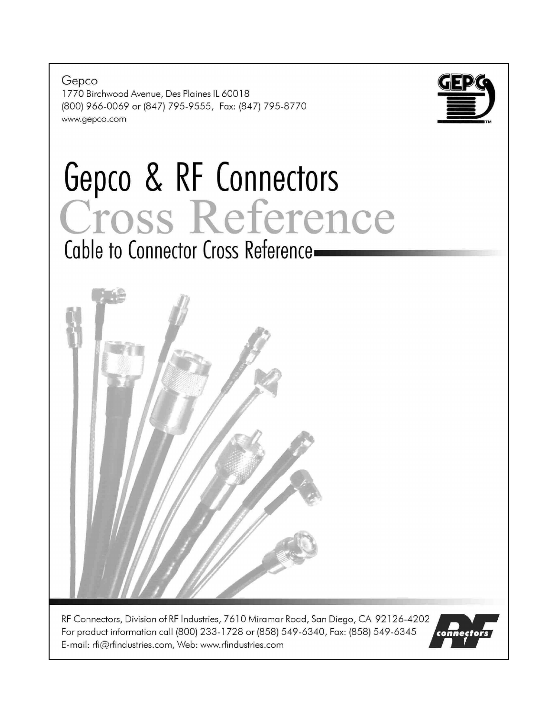Gepco 1770 Birchwood Avenue, Des Plaines IL 60018 (800) 966-0069 or (847) 795-9555, Fax: (847) 795-8770 www.gepco.com



# Gepco & RF Connectors<br>Cross Reference Cable to Connector Cross Reference-



RF Connectors, Division of RF Industries, 7610 Miramar Road, San Diego, CA 92126-4202 For product information call (800) 233-1728 or (858) 549-6340, Fax: (858) 549-6345 E-mail: rfi@rfindustries.com, Web: www.rfindustries.com

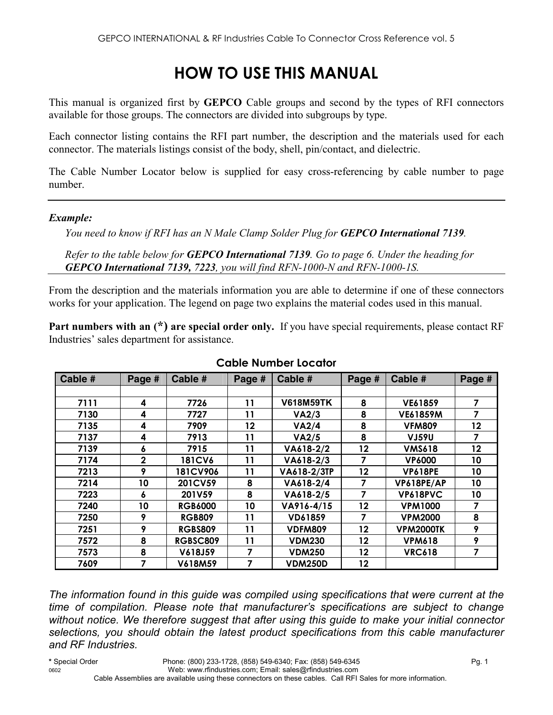# **HOW TO USE THIS MANUAL**

This manual is organized first by **GEPCO** Cable groups and second by the types of RFI connectors available for those groups. The connectors are divided into subgroups by type.

Each connector listing contains the RFI part number, the description and the materials used for each connector. The materials listings consist of the body, shell, pin/contact, and dielectric.

The Cable Number Locator below is supplied for easy cross-referencing by cable number to page number.

#### *Example:*

*You need to know if RFI has an N Male Clamp Solder Plug for GEPCO International 7139.* 

*Refer to the table below for GEPCO International 7139. Go to page 6. Under the heading for GEPCO International 7139, 7223, you will find RFN-1000-N and RFN-1000-1S.* 

From the description and the materials information you are able to determine if one of these connectors works for your application. The legend on page two explains the material codes used in this manual.

**Part numbers with an (\*) are special order only.** If you have special requirements, please contact RF Industries' sales department for assistance.

| Cable # | Page #       | Cable #         | Page # | Cable #          | Page # | Cable #          | Page # |
|---------|--------------|-----------------|--------|------------------|--------|------------------|--------|
|         |              |                 |        |                  |        |                  |        |
| 7111    | 4            | 7726            | 11     | <b>V618M59TK</b> | 8      | VE61859          | 7      |
| 7130    | 4            | 7727            | 11     | VA2/3            | 8      | <b>VE61859M</b>  | 7      |
| 7135    | 4            | 7909            | 12     | VA2/4            | 8      | <b>VFM809</b>    | 12     |
| 7137    | 4            | 7913            | 11     | VA2/5            | 8      | <b>VJ59U</b>     | 7      |
| 7139    | 6            | 7915            | 11     | VA618-2/2        | 12     | <b>VMS618</b>    | 12     |
| 7174    | $\mathbf{2}$ | <b>181CV6</b>   | 11     | VA618-2/3        | 7      | <b>VP6000</b>    | 10     |
| 7213    | 9            | <b>181CV906</b> | 11     | VA618-2/3TP      | 12     | <b>VP618PE</b>   | 10     |
| 7214    | 10           | 201CV59         | 8      | VA618-2/4        | 7      | VP618PE/AP       | 10     |
| 7223    | 6            | 201V59          | 8      | VA618-2/5        | 7      | VP618PVC         | 10     |
| 7240    | 10           | <b>RGB6000</b>  | 10     | VA916-4/15       | 12     | <b>VPM1000</b>   | 7      |
| 7250    | 9            | <b>RGB809</b>   | 11     | VD61859          | 7      | <b>VPM2000</b>   | 8      |
| 7251    | 9            | <b>RGBS809</b>  | 11     | <b>VDFM809</b>   | 12     | <b>VPM2000TK</b> | 9      |
| 7572    | 8            | RGBSC809        | 11     | <b>VDM230</b>    | 12     | <b>VPM618</b>    | 9      |
| 7573    | 8            | V618J59         | 7      | <b>VDM250</b>    | 12     | <b>VRC618</b>    | 7      |
| 7609    | 7            | V618M59         |        | <b>VDM250D</b>   | 12     |                  |        |

#### **Cable Number Locator**

*The information found in this guide was compiled using specifications that were current at the time of compilation. Please note that manufacturer's specifications are subject to change without notice. We therefore suggest that after using this guide to make your initial connector selections, you should obtain the latest product specifications from this cable manufacturer and RF Industries.*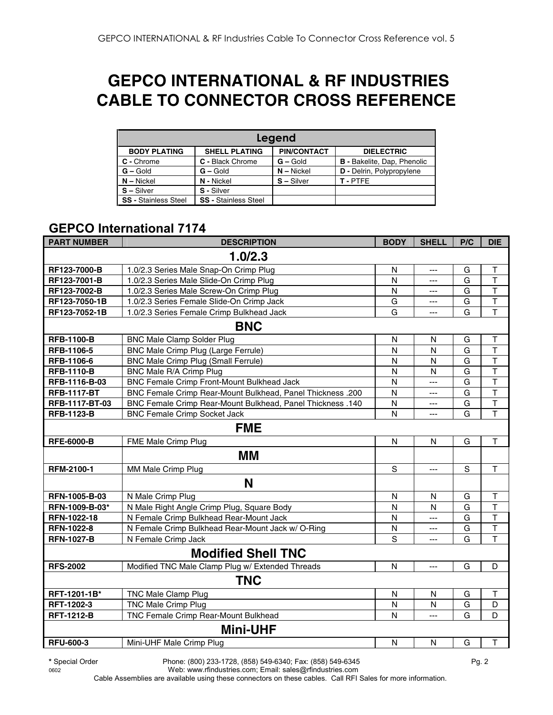# **GEPCO INTERNATIONAL & RF INDUSTRIES CABLE TO CONNECTOR CROSS REFERENCE**

| Legend                      |                             |                    |                                    |  |  |  |  |  |
|-----------------------------|-----------------------------|--------------------|------------------------------------|--|--|--|--|--|
| <b>BODY PLATING</b>         | <b>SHELL PLATING</b>        | <b>PIN/CONTACT</b> | <b>DIELECTRIC</b>                  |  |  |  |  |  |
| C - Chrome                  | C - Black Chrome            | $G -$ Gold         | <b>B</b> - Bakelite, Dap, Phenolic |  |  |  |  |  |
| $G - Gold$                  | $G -$ Gold                  | $N - Nickel$       | <b>D</b> - Delrin, Polypropylene   |  |  |  |  |  |
| $N - Nickel$                | N - Nickel                  | $S - Silver$       | T-PTFF                             |  |  |  |  |  |
| $S - Silver$                | S - Silver                  |                    |                                    |  |  |  |  |  |
| <b>SS - Stainless Steel</b> | <b>SS - Stainless Steel</b> |                    |                                    |  |  |  |  |  |

#### **GEPCO International 7174**

| <b>PART NUMBER</b> | <b>DESCRIPTION</b>                                         | <b>BODY</b>             | <b>SHELL</b>            | P/C | <b>DIE</b>              |  |  |  |
|--------------------|------------------------------------------------------------|-------------------------|-------------------------|-----|-------------------------|--|--|--|
| 1.0/2.3            |                                                            |                         |                         |     |                         |  |  |  |
| RF123-7000-B       | 1.0/2.3 Series Male Snap-On Crimp Plug                     | N                       | ---                     | G   | Τ                       |  |  |  |
| RF123-7001-B       | 1.0/2.3 Series Male Slide-On Crimp Plug                    | N                       | ---                     | G   | $\top$                  |  |  |  |
| RF123-7002-B       | 1.0/2.3 Series Male Screw-On Crimp Plug                    | $\mathsf{N}$            | ---                     | G   | T                       |  |  |  |
| RF123-7050-1B      | 1.0/2.3 Series Female Slide-On Crimp Jack                  | G                       | ---                     | G   | T                       |  |  |  |
| RF123-7052-1B      | 1.0/2.3 Series Female Crimp Bulkhead Jack                  | G                       | ---                     | G   | T                       |  |  |  |
|                    | <b>BNC</b>                                                 |                         |                         |     |                         |  |  |  |
| <b>RFB-1100-B</b>  | <b>BNC Male Clamp Solder Plug</b>                          | $\overline{\mathsf{N}}$ | $\overline{\mathsf{N}}$ | G   | T                       |  |  |  |
| RFB-1106-5         | BNC Male Crimp Plug (Large Ferrule)                        | N                       | N                       | G   | $\overline{\mathsf{T}}$ |  |  |  |
| RFB-1106-6         | BNC Male Crimp Plug (Small Ferrule)                        | N                       | N                       | G   | $\overline{\mathsf{T}}$ |  |  |  |
| <b>RFB-1110-B</b>  | BNC Male R/A Crimp Plug                                    | N                       | N                       | G   | $\overline{\mathsf{T}}$ |  |  |  |
| RFB-1116-B-03      | BNC Female Crimp Front-Mount Bulkhead Jack                 | N                       | ---                     | G   | $\overline{\mathsf{T}}$ |  |  |  |
| <b>RFB-1117-BT</b> | BNC Female Crimp Rear-Mount Bulkhead, Panel Thickness .200 | N                       | ---                     | G   | $\overline{\mathsf{T}}$ |  |  |  |
| RFB-1117-BT-03     | BNC Female Crimp Rear-Mount Bulkhead, Panel Thickness .140 | N                       | ---                     | G   | $\mathsf T$             |  |  |  |
| <b>RFB-1123-B</b>  | <b>BNC Female Crimp Socket Jack</b>                        | N                       | ---                     | G   | $\overline{\mathsf{T}}$ |  |  |  |
|                    | <b>FME</b>                                                 |                         |                         |     |                         |  |  |  |
| <b>RFE-6000-B</b>  | FME Male Crimp Plug                                        | N                       | N                       | G   | T.                      |  |  |  |
|                    | MМ                                                         |                         |                         |     |                         |  |  |  |
| RFM-2100-1         | MM Male Crimp Plug                                         | $\mathbf S$             | $\overline{a}$          | S   | $\mathsf T$             |  |  |  |
|                    | N                                                          |                         |                         |     |                         |  |  |  |
| RFN-1005-B-03      | N Male Crimp Plug                                          | N                       | N                       | G   | T                       |  |  |  |
| RFN-1009-B-03*     | N Male Right Angle Crimp Plug, Square Body                 | N                       | N                       | G   | $\overline{\mathsf{T}}$ |  |  |  |
| RFN-1022-18        | N Female Crimp Bulkhead Rear-Mount Jack                    | N                       | ---                     | G   | $\overline{\mathsf{T}}$ |  |  |  |
| <b>RFN-1022-8</b>  | N Female Crimp Bulkhead Rear-Mount Jack w/ O-Ring          | N                       | ---                     | G   | $\overline{\mathsf{T}}$ |  |  |  |
| <b>RFN-1027-B</b>  | N Female Crimp Jack                                        | S                       |                         | G   | $\overline{T}$          |  |  |  |
|                    | <b>Modified Shell TNC</b>                                  |                         |                         |     |                         |  |  |  |
| <b>RFS-2002</b>    | Modified TNC Male Clamp Plug w/ Extended Threads           | $\mathsf{N}$            | $\overline{a}$          | G   | D                       |  |  |  |
|                    | <b>TNC</b>                                                 |                         |                         |     |                         |  |  |  |
| RFT-1201-1B*       | TNC Male Clamp Plug                                        | $\mathsf{N}$            | $\mathsf{N}$            | G   | T                       |  |  |  |
| RFT-1202-3         | <b>TNC Male Crimp Plug</b>                                 | N                       | N                       | G   | D                       |  |  |  |
| <b>RFT-1212-B</b>  | TNC Female Crimp Rear-Mount Bulkhead                       | N                       | ---                     | G   | D                       |  |  |  |
|                    | <b>Mini-UHF</b>                                            |                         |                         |     |                         |  |  |  |
| <b>RFU-600-3</b>   | Mini-UHF Male Crimp Plug                                   | N                       | N                       | G   | $\mathsf{T}$            |  |  |  |

**\*** Special Order Phone: (800) 233-1728, (858) 549-6340; Fax: (858) 549-6345 Pg. 2

0602 Web: www.rfindustries.com; Email: sales@rfindustries.com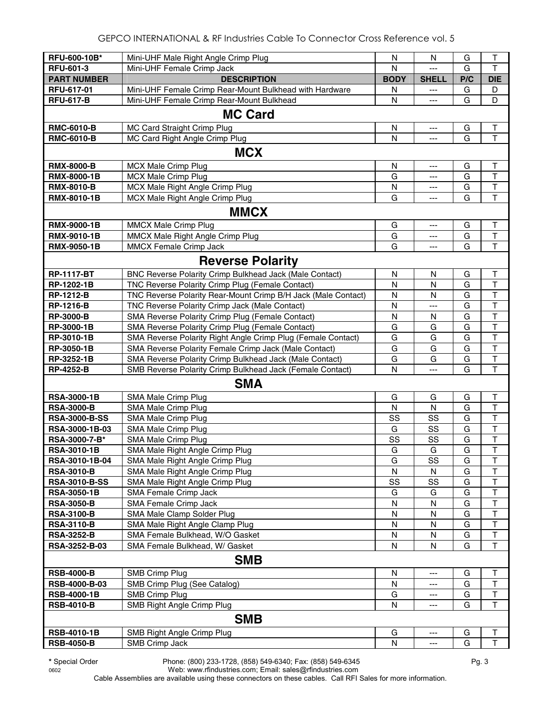| RFU-600-10B*         | Mini-UHF Male Right Angle Crimp Plug                          | N                       | N                          | G   | T                       |  |  |
|----------------------|---------------------------------------------------------------|-------------------------|----------------------------|-----|-------------------------|--|--|
| <b>RFU-601-3</b>     | Mini-UHF Female Crimp Jack                                    | N                       | $\overline{a}$             | G   | T                       |  |  |
| <b>PART NUMBER</b>   | <b>DESCRIPTION</b>                                            | <b>BODY</b>             | <b>SHELL</b>               | P/C | <b>DIE</b>              |  |  |
| RFU-617-01           | Mini-UHF Female Crimp Rear-Mount Bulkhead with Hardware       | N                       | $\overline{\phantom{a}}$   | G   | D                       |  |  |
| <b>RFU-617-B</b>     | Mini-UHF Female Crimp Rear-Mount Bulkhead                     | N                       | $\overline{a}$             | G   | D                       |  |  |
| <b>MC Card</b>       |                                                               |                         |                            |     |                         |  |  |
| <b>RMC-6010-B</b>    | MC Card Straight Crimp Plug                                   | N                       | $\hspace{0.05cm} \ldots$   | G   | Τ                       |  |  |
| <b>RMC-6010-B</b>    | MC Card Right Angle Crimp Plug                                | N                       | $\overline{a}$             | G   | $\mathsf T$             |  |  |
|                      |                                                               |                         |                            |     |                         |  |  |
|                      | <b>MCX</b>                                                    |                         |                            |     |                         |  |  |
| <b>RMX-8000-B</b>    | <b>MCX Male Crimp Plug</b>                                    | N                       | ---                        | G   | T                       |  |  |
| <b>RMX-8000-1B</b>   | <b>MCX Male Crimp Plug</b>                                    | G                       | ---                        | G   | $\top$                  |  |  |
| <b>RMX-8010-B</b>    | MCX Male Right Angle Crimp Plug                               | N                       | $\overline{\phantom{a}}$   | G   | $\overline{\mathsf{T}}$ |  |  |
| <b>RMX-8010-1B</b>   | MCX Male Right Angle Crimp Plug                               | G                       | $\overline{\phantom{a}}$   | G   | $\top$                  |  |  |
|                      | <b>MMCX</b>                                                   |                         |                            |     |                         |  |  |
| <b>RMX-9000-1B</b>   | MMCX Male Crimp Plug                                          | G                       | $\qquad \qquad - \qquad -$ | G   | $\top$                  |  |  |
| <b>RMX-9010-1B</b>   | MMCX Male Right Angle Crimp Plug                              | G                       | $--$                       | G   | $\mathsf T$             |  |  |
| <b>RMX-9050-1B</b>   | MMCX Female Crimp Jack                                        | G                       | $---$                      | G   | $\mathsf T$             |  |  |
|                      | <b>Reverse Polarity</b>                                       |                         |                            |     |                         |  |  |
| <b>RP-1117-BT</b>    | BNC Reverse Polarity Crimp Bulkhead Jack (Male Contact)       | N                       | N                          | G   | т                       |  |  |
| RP-1202-1B           | TNC Reverse Polarity Crimp Plug (Female Contact)              | $\mathsf{N}$            | N                          | G   | $\top$                  |  |  |
| <b>RP-1212-B</b>     | TNC Reverse Polarity Rear-Mount Crimp B/H Jack (Male Contact) | N                       | N                          | G   | $\mathsf T$             |  |  |
| <b>RP-1216-B</b>     | TNC Reverse Polarity Crimp Jack (Male Contact)                | N                       | ---                        | G   | $\mathsf T$             |  |  |
| <b>RP-3000-B</b>     | SMA Reverse Polarity Crimp Plug (Female Contact)              | $\mathsf{N}$            | N                          | G   | $\mathsf T$             |  |  |
| RP-3000-1B           | SMA Reverse Polarity Crimp Plug (Female Contact)              | G                       | G                          | G   | $\top$                  |  |  |
| RP-3010-1B           | SMA Reverse Polarity Right Angle Crimp Plug (Female Contact)  | G                       | G                          | G   | $\overline{\mathsf{T}}$ |  |  |
| RP-3050-1B           | SMA Reverse Polarity Female Crimp Jack (Male Contact)         | G                       | G                          | G   | $\overline{\mathsf{T}}$ |  |  |
| RP-3252-1B           | SMA Reverse Polarity Crimp Bulkhead Jack (Male Contact)       | G                       | G                          | G   | $\mathsf T$             |  |  |
| <b>RP-4252-B</b>     | SMB Reverse Polarity Crimp Bulkhead Jack (Female Contact)     | N                       | ---                        | G   | T                       |  |  |
|                      | <b>SMA</b>                                                    |                         |                            |     |                         |  |  |
| <b>RSA-3000-1B</b>   | SMA Male Crimp Plug                                           | G                       | G                          | G   | Т                       |  |  |
| <b>RSA-3000-B</b>    | SMA Male Crimp Plug                                           | N                       | N                          | G   | T                       |  |  |
| <b>RSA-3000-B-SS</b> | SMA Male Crimp Plug                                           | SS                      | SS                         | G   | T                       |  |  |
| RSA-3000-1B-03       | SMA Male Crimp Plug                                           | G                       | SS                         | G   | $\overline{\mathsf{T}}$ |  |  |
| RSA-3000-7-B*        | SMA Male Crimp Plug                                           | SS                      | SS                         | G   | $\overline{\mathsf{T}}$ |  |  |
| <b>RSA-3010-1B</b>   | SMA Male Right Angle Crimp Plug                               | G                       | G                          | G   | $\mathsf{T}$            |  |  |
| RSA-3010-1B-04       | SMA Male Right Angle Crimp Plug                               | G                       | SS                         | G   | т                       |  |  |
| <b>RSA-3010-B</b>    | SMA Male Right Angle Crimp Plug                               | N                       | N                          | G   | T                       |  |  |
| <b>RSA-3010-B-SS</b> | SMA Male Right Angle Crimp Plug                               | SS                      | SS                         | G   | T                       |  |  |
| <b>RSA-3050-1B</b>   | SMA Female Crimp Jack                                         | G                       | G                          | G   | T                       |  |  |
| <b>RSA-3050-B</b>    | SMA Female Crimp Jack                                         | N                       | N                          | G   | T                       |  |  |
| <b>RSA-3100-B</b>    | SMA Male Clamp Solder Plug                                    | N                       | N                          | G   | T                       |  |  |
| <b>RSA-3110-B</b>    | SMA Male Right Angle Clamp Plug                               | N                       | N                          | G   | T                       |  |  |
| <b>RSA-3252-B</b>    | SMA Female Bulkhead, W/O Gasket                               | N                       | N                          | G   | T                       |  |  |
| RSA-3252-B-03        | SMA Female Bulkhead, W/ Gasket                                | N                       | N                          | G   | T                       |  |  |
|                      | <b>SMB</b>                                                    |                         |                            |     |                         |  |  |
| <b>RSB-4000-B</b>    | <b>SMB Crimp Plug</b>                                         | N                       | ---                        | G   | T                       |  |  |
| RSB-4000-B-03        | SMB Crimp Plug (See Catalog)                                  | N                       | ---                        | G   | Т                       |  |  |
| <b>RSB-4000-1B</b>   | <b>SMB Crimp Plug</b>                                         | G                       | ---                        | G   | Τ                       |  |  |
| <b>RSB-4010-B</b>    | SMB Right Angle Crimp Plug                                    | N                       | ---                        | G   | $\mathsf T$             |  |  |
|                      | <b>SMB</b>                                                    |                         |                            |     |                         |  |  |
| <b>RSB-4010-1B</b>   | SMB Right Angle Crimp Plug                                    | G                       | ---                        | G   | $\sf T$                 |  |  |
| <b>RSB-4050-B</b>    | SMB Crimp Jack                                                | $\overline{\mathsf{N}}$ | ---                        | G   | $\mathsf{T}$            |  |  |

**\*** Special Order Phone: (800) 233-1728, (858) 549-6340; Fax: (858) 549-6345 Pg. 3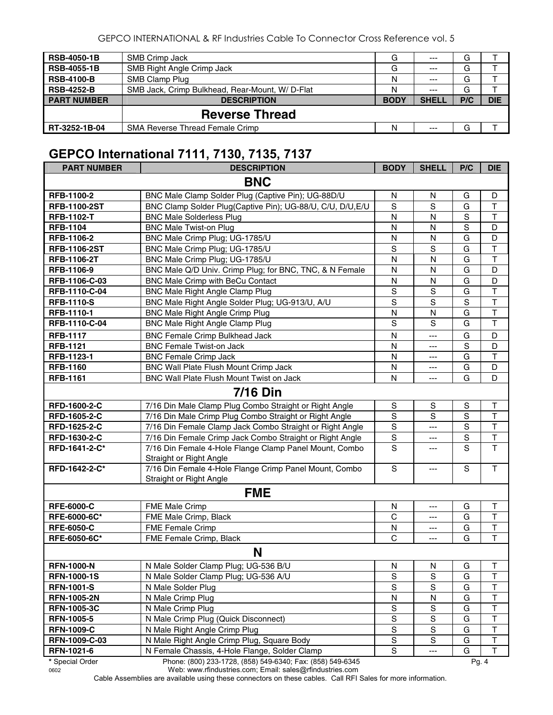GEPCO INTERNATIONAL & RF Industries Cable To Connector Cross Reference vol. 5

| <b>RSB-4050-1B</b> | SMB Crimp Jack                                 | G           | $---$        | G   |            |
|--------------------|------------------------------------------------|-------------|--------------|-----|------------|
| <b>RSB-4055-1B</b> | <b>SMB Right Angle Crimp Jack</b>              | G           | $---$        | G   |            |
| <b>RSB-4100-B</b>  | SMB Clamp Plug                                 | N           | $---$        | G   |            |
| <b>RSB-4252-B</b>  | SMB Jack, Crimp Bulkhead, Rear-Mount, W/D-Flat | N           | $---$        | G   |            |
| <b>PART NUMBER</b> | <b>DESCRIPTION</b>                             | <b>BODY</b> | <b>SHELL</b> | P/C | <b>DIE</b> |
|                    | <b>Reverse Thread</b>                          |             |              |     |            |
| RT-3252-1B-04      | <b>SMA Reverse Thread Female Crimp</b>         | N           | $--$         | G   |            |

# **GEPCO International 7111, 7130, 7135, 7137**

| <b>PART NUMBER</b>  | <b>DESCRIPTION</b>                                         | <b>BODY</b>   | <b>SHELL</b>   | P/C            | <b>DIE</b>              |  |  |  |
|---------------------|------------------------------------------------------------|---------------|----------------|----------------|-------------------------|--|--|--|
| <b>BNC</b>          |                                                            |               |                |                |                         |  |  |  |
| <b>RFB-1100-2</b>   | BNC Male Clamp Solder Plug (Captive Pin); UG-88D/U         | N             | N              | G              | D                       |  |  |  |
| <b>RFB-1100-2ST</b> | BNC Clamp Solder Plug(Captive Pin); UG-88/U, C/U, D/U, E/U | $\mathbf S$   | S              | G              | $\top$                  |  |  |  |
| <b>RFB-1102-T</b>   | <b>BNC Male Solderless Plug</b>                            | $\mathsf{N}$  | N              | $\mathbf S$    | $\mathsf T$             |  |  |  |
| <b>RFB-1104</b>     | <b>BNC Male Twist-on Plug</b>                              | N             | N              | $\overline{s}$ | D                       |  |  |  |
| RFB-1106-2          | BNC Male Crimp Plug; UG-1785/U                             | N             | N              | G              | D                       |  |  |  |
| <b>RFB-1106-2ST</b> | BNC Male Crimp Plug; UG-1785/U                             | $\mathbf S$   | S              | G              | $\overline{\mathsf{T}}$ |  |  |  |
| <b>RFB-1106-2T</b>  | BNC Male Crimp Plug; UG-1785/U                             | N             | N              | G              | $\overline{\mathsf{T}}$ |  |  |  |
| RFB-1106-9          | BNC Male Q/D Univ. Crimp Plug; for BNC, TNC, & N Female    | N             | N              | G              | D                       |  |  |  |
| RFB-1106-C-03       | BNC Male Crimp with BeCu Contact                           | N             | N              | G              | D                       |  |  |  |
| RFB-1110-C-04       | <b>BNC Male Right Angle Clamp Plug</b>                     | S             | $\mathbf S$    | G              | T                       |  |  |  |
| <b>RFB-1110-S</b>   | BNC Male Right Angle Solder Plug; UG-913/U, A/U            | S             | S              | $\mathbf S$    | $\overline{\mathsf{T}}$ |  |  |  |
| RFB-1110-1          | BNC Male Right Angle Crimp Plug                            | N             | N              | G              | $\overline{\mathsf{T}}$ |  |  |  |
| RFB-1110-C-04       | BNC Male Right Angle Clamp Plug                            | S             | S              | G              | T                       |  |  |  |
| <b>RFB-1117</b>     | <b>BNC Female Crimp Bulkhead Jack</b>                      | N             | ---            | G              | D                       |  |  |  |
| <b>RFB-1121</b>     | <b>BNC Female Twist-on Jack</b>                            | N             | ---            | S              | D                       |  |  |  |
| RFB-1123-1          | <b>BNC Female Crimp Jack</b>                               | N             | ---            | G              | T                       |  |  |  |
| <b>RFB-1160</b>     | BNC Wall Plate Flush Mount Crimp Jack                      | N             | ---            | G              | D                       |  |  |  |
| <b>RFB-1161</b>     | BNC Wall Plate Flush Mount Twist on Jack                   | N             | ---            | G              | D                       |  |  |  |
|                     | <b>7/16 Din</b>                                            |               |                |                |                         |  |  |  |
| RFD-1600-2-C        | 7/16 Din Male Clamp Plug Combo Straight or Right Angle     | ${\sf S}$     | $\mathbf S$    | $\mathsf S$    | $\mathsf T$             |  |  |  |
| RFD-1605-2-C        | 7/16 Din Male Crimp Plug Combo Straight or Right Angle     | S             | S              | $\mathbf S$    | $\mathsf T$             |  |  |  |
| RFD-1625-2-C        | 7/16 Din Female Clamp Jack Combo Straight or Right Angle   | $\mathbf S$   | ---            | $\mathbf S$    | $\mathsf T$             |  |  |  |
| RFD-1630-2-C        | 7/16 Din Female Crimp Jack Combo Straight or Right Angle   | $\mathbf S$   | ---            | $\mathbf S$    | $\overline{T}$          |  |  |  |
| RFD-1641-2-C*       | 7/16 Din Female 4-Hole Flange Clamp Panel Mount, Combo     | S             | ---            | S              | $\overline{\mathsf{T}}$ |  |  |  |
|                     | Straight or Right Angle                                    |               |                |                |                         |  |  |  |
| RFD-1642-2-C*       | 7/16 Din Female 4-Hole Flange Crimp Panel Mount, Combo     | $\mathbf S$   | ---            | S              | $\mathsf{T}$            |  |  |  |
|                     | Straight or Right Angle                                    |               |                |                |                         |  |  |  |
|                     | <b>FME</b>                                                 |               |                |                |                         |  |  |  |
| <b>RFE-6000-C</b>   | FME Male Crimp                                             | N             | ---            | G              | Τ                       |  |  |  |
| RFE-6000-6C*        | FME Male Crimp, Black                                      | C             | ---            | G              | $\mathsf T$             |  |  |  |
| <b>RFE-6050-C</b>   | FME Female Crimp                                           | N             | ---            | G              | $\sf T$                 |  |  |  |
| RFE-6050-6C*        | FME Female Crimp, Black                                    | $\mathsf{C}$  | $\overline{a}$ | G              | $\mathsf T$             |  |  |  |
|                     | N                                                          |               |                |                |                         |  |  |  |
| <b>RFN-1000-N</b>   | N Male Solder Clamp Plug; UG-536 B/U                       | ${\sf N}$     | N              | G              | $\mathsf T$             |  |  |  |
| <b>RFN-1000-1S</b>  | N Male Solder Clamp Plug; UG-536 A/U                       | S             | S              | G              | Т                       |  |  |  |
| <b>RFN-1001-S</b>   | N Male Solder Plug                                         | $\mathbf S$   | S              | G              | Τ                       |  |  |  |
| <b>RFN-1005-2N</b>  | N Male Crimp Plug                                          | N             | N              | G              | Τ                       |  |  |  |
| <b>RFN-1005-3C</b>  | N Male Crimp Plug                                          | S             | $\mathbf S$    | G              | T                       |  |  |  |
| <b>RFN-1005-5</b>   | N Male Crimp Plug (Quick Disconnect)                       | $\mathbf S$   | $\mathbf S$    | G              | T                       |  |  |  |
| <b>RFN-1009-C</b>   | N Male Right Angle Crimp Plug                              | $\mathbf S$   | $\mathbf S$    | G              | $\sf T$                 |  |  |  |
| RFN-1009-C-03       | N Male Right Angle Crimp Plug, Square Body                 | ${\sf S}$     | $\mathbf S$    | G              | T                       |  |  |  |
| RFN-1021-6          | N Female Chassis, 4-Hole Flange, Solder Clamp              | ${\mathsf S}$ | ---            | G              | т                       |  |  |  |
| * Special Order     | Phone: (800) 233-1728, (858) 549-6340; Fax: (858) 549-6345 |               |                | Pg. 4          |                         |  |  |  |

0602 Web: www.rfindustries.com; Email: sales@rfindustries.com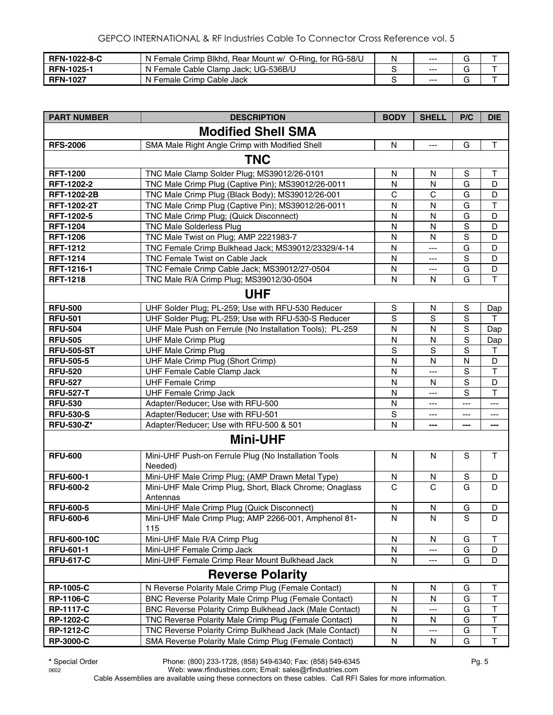| <b>RFN-1022-8-C</b> | N Female Crimp Blkhd, Rear Mount w/ O-Ring, for RG-58/U | N | $--$    |  |
|---------------------|---------------------------------------------------------|---|---------|--|
| <b>RFN-1025-1</b>   | N Female Cable Clamp Jack; UG-536B/U                    |   | $- - -$ |  |
| <b>RFN-1027</b>     | N Female Crimp Cable Jack                               |   | $--$    |  |

| <b>PART NUMBER</b> | <b>DESCRIPTION</b>                                          | <b>BODY</b>  | <b>SHELL</b>      | P/C            | <b>DIE</b>     |  |  |  |  |
|--------------------|-------------------------------------------------------------|--------------|-------------------|----------------|----------------|--|--|--|--|
|                    | <b>Modified Shell SMA</b>                                   |              |                   |                |                |  |  |  |  |
| <b>RFS-2006</b>    | SMA Male Right Angle Crimp with Modified Shell              | N            | $\overline{a}$    | G              | $\mathsf T$    |  |  |  |  |
| <b>TNC</b>         |                                                             |              |                   |                |                |  |  |  |  |
| <b>RFT-1200</b>    | TNC Male Clamp Solder Plug; MS39012/26-0101                 | N            | N                 | S              | Τ              |  |  |  |  |
| RFT-1202-2         | TNC Male Crimp Plug (Captive Pin); MS39012/26-0011          | $\mathsf{N}$ | N                 | $\overline{G}$ | D              |  |  |  |  |
| <b>RFT-1202-2B</b> | TNC Male Crimp Plug (Black Body); MS39012/26-001            | $\mathsf{C}$ | $\mathsf{C}$      | G              | D              |  |  |  |  |
| <b>RFT-1202-2T</b> | TNC Male Crimp Plug (Captive Pin); MS39012/26-0011          | N            | $\mathsf{N}$      | G              | T              |  |  |  |  |
| RFT-1202-5         | TNC Male Crimp Plug; (Quick Disconnect)                     | N            | N                 | G              | D              |  |  |  |  |
| <b>RFT-1204</b>    | <b>TNC Male Solderless Plug</b>                             | N            | N                 | S              | D              |  |  |  |  |
| <b>RFT-1206</b>    | TNC Male Twist on Plug; AMP 2221983-7                       | N            | N                 | S              | D              |  |  |  |  |
| <b>RFT-1212</b>    | TNC Female Crimp Bulkhead Jack; MS39012/23329/4-14          | N            | $---$             | G              | D              |  |  |  |  |
| <b>RFT-1214</b>    | TNC Female Twist on Cable Jack                              | N            | ---               | S              | D              |  |  |  |  |
| RFT-1216-1         | TNC Female Crimp Cable Jack; MS39012/27-0504                | N            | ---               | G              | D              |  |  |  |  |
| <b>RFT-1218</b>    | TNC Male R/A Crimp Plug; MS39012/30-0504                    | N            | N                 | G              | $\overline{1}$ |  |  |  |  |
|                    | <b>UHF</b>                                                  |              |                   |                |                |  |  |  |  |
|                    |                                                             |              |                   |                |                |  |  |  |  |
| <b>RFU-500</b>     | UHF Solder Plug; PL-259; Use with RFU-530 Reducer           | S            | N                 | $\mathbb S$    | Dap            |  |  |  |  |
| <b>RFU-501</b>     | UHF Solder Plug; PL-259; Use with RFU-530-S Reducer         | S            | S                 | S              | т              |  |  |  |  |
| <b>RFU-504</b>     | UHF Male Push on Ferrule (No Installation Tools); PL-259    | N            | N                 | S              | Dap            |  |  |  |  |
| <b>RFU-505</b>     | <b>UHF Male Crimp Plug</b>                                  | N            | N                 | $\overline{s}$ | Dap            |  |  |  |  |
| <b>RFU-505-ST</b>  | <b>UHF Male Crimp Plug</b>                                  | S            | S                 | $\mathbf S$    | $\top$         |  |  |  |  |
| <b>RFU-505-5</b>   | UHF Male Crimp Plug (Short Crimp)                           | $\mathsf{N}$ | $\mathsf{N}$      | $\mathsf{N}$   | D              |  |  |  |  |
| <b>RFU-520</b>     | UHF Female Cable Clamp Jack                                 | N            | $---$             | $\mathbf S$    | $\mathsf{T}$   |  |  |  |  |
| <b>RFU-527</b>     | <b>UHF Female Crimp</b>                                     | $\mathsf{N}$ | N                 | S              | D              |  |  |  |  |
| <b>RFU-527-T</b>   | <b>UHF Female Crimp Jack</b>                                | $\mathsf{N}$ | ---               | S              | T              |  |  |  |  |
| <b>RFU-530</b>     | Adapter/Reducer; Use with RFU-500                           | N            | ---               | $---$          | ---            |  |  |  |  |
| <b>RFU-530-S</b>   | Adapter/Reducer; Use with RFU-501                           | S            | $---$             | ---            | ---            |  |  |  |  |
| <b>RFU-530-Z*</b>  | Adapter/Reducer; Use with RFU-500 & 501                     | $\mathsf{N}$ | ---               | ---            | ---            |  |  |  |  |
|                    | <b>Mini-UHF</b>                                             |              |                   |                |                |  |  |  |  |
| <b>RFU-600</b>     | Mini-UHF Push-on Ferrule Plug (No Installation Tools        | N            | N                 | S              | $\mathsf T$    |  |  |  |  |
| <b>RFU-600-1</b>   | Needed)<br>Mini-UHF Male Crimp Plug; (AMP Drawn Metal Type) | N            | N                 | $\mathbf S$    | D              |  |  |  |  |
| <b>RFU-600-2</b>   | Mini-UHF Male Crimp Plug, Short, Black Chrome; Onaglass     | $\mathbf C$  | $\mathbf C$       | G              | D              |  |  |  |  |
|                    | Antennas                                                    |              |                   |                |                |  |  |  |  |
| <b>RFU-600-5</b>   | Mini-UHF Male Crimp Plug (Quick Disconnect)                 | $\mathsf{N}$ | $\mathsf{N}$      | G              | D              |  |  |  |  |
| <b>RFU-600-6</b>   | Mini-UHF Male Crimp Plug; AMP 2266-001, Amphenol 81-        | N            | N                 | S              | D              |  |  |  |  |
|                    | 115                                                         |              |                   |                |                |  |  |  |  |
| <b>RFU-600-10C</b> | Mini-UHF Male R/A Crimp Plug                                | ${\sf N}$    | N                 | G              | T              |  |  |  |  |
| <b>RFU-601-1</b>   | Mini-UHF Female Crimp Jack                                  | N            | $\qquad \qquad -$ | G              | D              |  |  |  |  |
| <b>RFU-617-C</b>   | Mini-UHF Female Crimp Rear Mount Bulkhead Jack              | N            | ---               | G              | D              |  |  |  |  |
|                    | <b>Reverse Polarity</b>                                     |              |                   |                |                |  |  |  |  |
| <b>RP-1005-C</b>   | N Reverse Polarity Male Crimp Plug (Female Contact)         | N            | N                 | G              | Τ              |  |  |  |  |
| <b>RP-1106-C</b>   | BNC Reverse Polarity Male Crimp Plug (Female Contact)       | N            | N                 | G              | T              |  |  |  |  |
| <b>RP-1117-C</b>   | BNC Reverse Polarity Crimp Bulkhead Jack (Male Contact)     | N            | $---$             | G              | T              |  |  |  |  |
| <b>RP-1202-C</b>   | TNC Reverse Polarity Male Crimp Plug (Female Contact)       | N            | N                 | G              | Τ              |  |  |  |  |
| <b>RP-1212-C</b>   | TNC Reverse Polarity Crimp Bulkhead Jack (Male Contact)     | N            | ---               | G              | T              |  |  |  |  |
| <b>RP-3000-C</b>   | SMA Reverse Polarity Male Crimp Plug (Female Contact)       | N            | N                 | G              | Т              |  |  |  |  |

**\*** Special Order Phone: (800) 233-1728, (858) 549-6340; Fax: (858) 549-6345 Pg. 5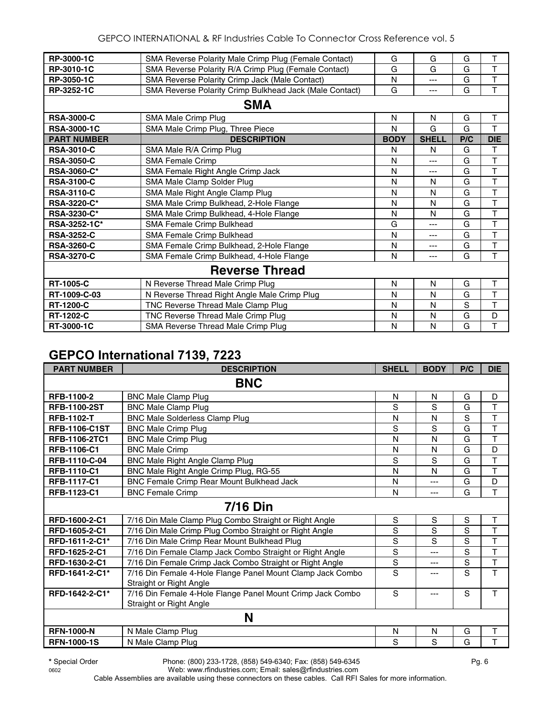| RP-3000-1C         | SMA Reverse Polarity Male Crimp Plug (Female Contact)   | G           | G            | G   | T                       |  |  |  |
|--------------------|---------------------------------------------------------|-------------|--------------|-----|-------------------------|--|--|--|
| RP-3010-1C         | SMA Reverse Polarity R/A Crimp Plug (Female Contact)    | G           | G            | G   | T                       |  |  |  |
| RP-3050-1C         | SMA Reverse Polarity Crimp Jack (Male Contact)          | N           | ---          | G   | T                       |  |  |  |
| RP-3252-1C         | SMA Reverse Polarity Crimp Bulkhead Jack (Male Contact) | G           | ---          | G   | T                       |  |  |  |
| <b>SMA</b>         |                                                         |             |              |     |                         |  |  |  |
| <b>RSA-3000-C</b>  | SMA Male Crimp Plug                                     | N           | N            | G   | T                       |  |  |  |
| <b>RSA-3000-1C</b> | SMA Male Crimp Plug, Three Piece                        | N           | G            | G   | T                       |  |  |  |
| <b>PART NUMBER</b> | <b>DESCRIPTION</b>                                      | <b>BODY</b> | <b>SHELL</b> | P/C | <b>DIE</b>              |  |  |  |
| <b>RSA-3010-C</b>  | SMA Male R/A Crimp Plug                                 | N           | N            | G   | T                       |  |  |  |
| <b>RSA-3050-C</b>  | <b>SMA Female Crimp</b>                                 | N           | ---          | G   | T                       |  |  |  |
| <b>RSA-3060-C*</b> | SMA Female Right Angle Crimp Jack                       | N           | ---          | G   | T                       |  |  |  |
| <b>RSA-3100-C</b>  | SMA Male Clamp Solder Plug                              | N           | N            | G   | T                       |  |  |  |
| <b>RSA-3110-C</b>  | SMA Male Right Angle Clamp Plug                         | N           | N            | G   | T                       |  |  |  |
| <b>RSA-3220-C*</b> | SMA Male Crimp Bulkhead, 2-Hole Flange                  | N           | N            | G   | $\overline{T}$          |  |  |  |
| RSA-3230-C*        | SMA Male Crimp Bulkhead, 4-Hole Flange                  | N           | N            | G   | $\mathsf T$             |  |  |  |
| RSA-3252-1C*       | <b>SMA Female Crimp Bulkhead</b>                        | G           | ---          | G   | $\top$                  |  |  |  |
| <b>RSA-3252-C</b>  | SMA Female Crimp Bulkhead                               | N           | ---          | G   | $\overline{\mathsf{T}}$ |  |  |  |
| <b>RSA-3260-C</b>  | SMA Female Crimp Bulkhead, 2-Hole Flange                | N           | ---          | G   | T                       |  |  |  |
| <b>RSA-3270-C</b>  | SMA Female Crimp Bulkhead, 4-Hole Flange                | N           | ---          | G   | T                       |  |  |  |
|                    | <b>Reverse Thread</b>                                   |             |              |     |                         |  |  |  |
| <b>RT-1005-C</b>   | N Reverse Thread Male Crimp Plug                        | N           | N            | G   | T                       |  |  |  |
| RT-1009-C-03       | N Reverse Thread Right Angle Male Crimp Plug            | N           | N            | G   | T                       |  |  |  |
| <b>RT-1200-C</b>   | TNC Reverse Thread Male Clamp Plug                      | N           | N            | S   | T                       |  |  |  |
| <b>RT-1202-C</b>   | TNC Reverse Thread Male Crimp Plug                      | N           | N            | G   | D                       |  |  |  |
| RT-3000-1C         | SMA Reverse Thread Male Crimp Plug                      | N           | N            | G   | T                       |  |  |  |

#### **GEPCO International 7139, 7223**

| <b>PART NUMBER</b>   | <b>DESCRIPTION</b>                                                                    | <b>SHELL</b> | <b>BODY</b> | P/C | <b>DIE</b>              |
|----------------------|---------------------------------------------------------------------------------------|--------------|-------------|-----|-------------------------|
|                      | <b>BNC</b>                                                                            |              |             |     |                         |
| RFB-1100-2           | <b>BNC Male Clamp Plug</b>                                                            | N            | N           | G   | D                       |
| <b>RFB-1100-2ST</b>  | <b>BNC Male Clamp Plug</b>                                                            | S            | S           | G   | T                       |
| <b>RFB-1102-T</b>    | <b>BNC Male Solderless Clamp Plug</b>                                                 | N            | N           | S   | T                       |
| <b>RFB-1106-C1ST</b> | <b>BNC Male Crimp Plug</b>                                                            | S            | S           | G   | T                       |
| RFB-1106-2TC1        | <b>BNC Male Crimp Plug</b>                                                            | N            | N           | G   | T                       |
| RFB-1106-C1          | <b>BNC Male Crimp</b>                                                                 | N            | N           | G   | D                       |
| RFB-1110-C-04        | BNC Male Right Angle Clamp Plug                                                       | S            | S           | G   | $\overline{\mathsf{T}}$ |
| <b>RFB-1110-C1</b>   | BNC Male Right Angle Crimp Plug, RG-55                                                | N            | N           | G   | T                       |
| <b>RFB-1117-C1</b>   | BNC Female Crimp Rear Mount Bulkhead Jack                                             | N            | ---         | G   | D                       |
| RFB-1123-C1          | <b>BNC Female Crimp</b>                                                               | N            | $---$       | G   | T                       |
|                      | <b>7/16 Din</b>                                                                       |              |             |     |                         |
| RFD-1600-2-C1        | 7/16 Din Male Clamp Plug Combo Straight or Right Angle                                | S            | S           | S   | T                       |
| RFD-1605-2-C1        | 7/16 Din Male Crimp Plug Combo Straight or Right Angle                                | S            | S           | S   | T                       |
| RFD-1611-2-C1*       | 7/16 Din Male Crimp Rear Mount Bulkhead Plug                                          | S            | S           | S   | $\overline{\mathsf{T}}$ |
| RFD-1625-2-C1        | 7/16 Din Female Clamp Jack Combo Straight or Right Angle                              | S            | ---         | S   | T                       |
| RFD-1630-2-C1        | 7/16 Din Female Crimp Jack Combo Straight or Right Angle                              | S            | $---$       | S   | T                       |
| RFD-1641-2-C1*       | 7/16 Din Female 4-Hole Flange Panel Mount Clamp Jack Combo<br>Straight or Right Angle | S            |             | S   | T                       |
| RFD-1642-2-C1*       | 7/16 Din Female 4-Hole Flange Panel Mount Crimp Jack Combo<br>Straight or Right Angle | S            | ---         | S   | T                       |
|                      | N                                                                                     |              |             |     |                         |
| <b>RFN-1000-N</b>    | N Male Clamp Plug                                                                     | N            | N           | G   | T                       |
| <b>RFN-1000-1S</b>   | N Male Clamp Plug                                                                     | S            | S           | G   | T                       |

**\*** Special Order Phone: (800) 233-1728, (858) 549-6340; Fax: (858) 549-6345 Pg. 6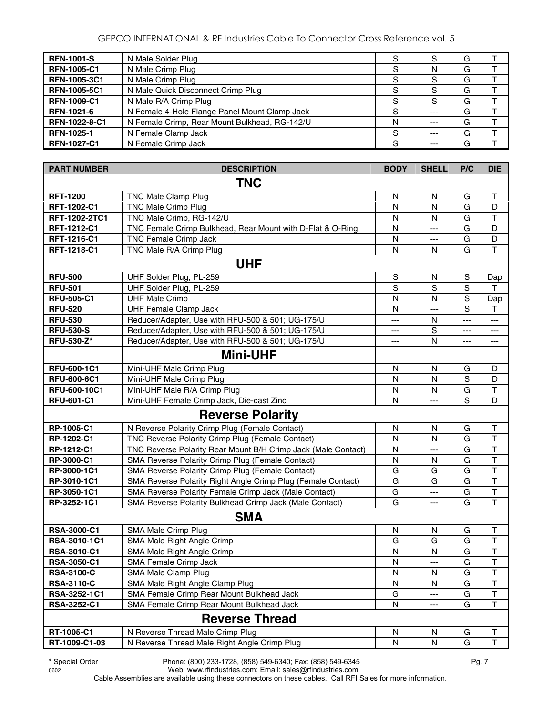#### GEPCO INTERNATIONAL & RF Industries Cable To Connector Cross Reference vol. 5

| <b>RFN-1001-S</b>  | N Male Solder Plug                            |   |         | G |  |
|--------------------|-----------------------------------------------|---|---------|---|--|
| <b>RFN-1005-C1</b> | N Male Crimp Plug                             |   |         | G |  |
| RFN-1005-3C1       | N Male Crimp Plug                             |   |         | G |  |
| RFN-1005-5C1       | N Male Quick Disconnect Crimp Plug            |   |         | G |  |
| <b>RFN-1009-C1</b> | N Male R/A Crimp Plug                         |   |         | G |  |
| RFN-1021-6         | N Female 4-Hole Flange Panel Mount Clamp Jack | S | ---     | G |  |
| RFN-1022-8-C1      | N Female Crimp, Rear Mount Bulkhead, RG-142/U | N | $- - -$ | G |  |
| <b>RFN-1025-1</b>  | N Female Clamp Jack                           | S | $---$   | G |  |
| <b>RFN-1027-C1</b> | N Female Crimp Jack                           | S |         | G |  |

| <b>PART NUMBER</b>  | <b>DESCRIPTION</b>                                            | <b>BODY</b>  | <b>SHELL</b>   | P/C | <b>DIE</b>              |
|---------------------|---------------------------------------------------------------|--------------|----------------|-----|-------------------------|
|                     | <b>TNC</b>                                                    |              |                |     |                         |
| <b>RFT-1200</b>     | TNC Male Clamp Plug                                           | N            | N              | G   | Т                       |
| RFT-1202-C1         | <b>TNC Male Crimp Plug</b>                                    | $\mathsf{N}$ | N              | G   | D                       |
| RFT-1202-2TC1       | TNC Male Crimp, RG-142/U                                      | N            | N              | G   | T                       |
| RFT-1212-C1         | TNC Female Crimp Bulkhead, Rear Mount with D-Flat & O-Ring    | N            | $---$          | G   | D                       |
| RFT-1216-C1         | TNC Female Crimp Jack                                         | N            | $\overline{a}$ | G   | $\mathsf D$             |
| RFT-1218-C1         | TNC Male R/A Crimp Plug                                       | $\mathsf{N}$ | N              | G   | $\overline{\mathsf{T}}$ |
|                     | <b>UHF</b>                                                    |              |                |     |                         |
| <b>RFU-500</b>      | UHF Solder Plug, PL-259                                       | $\mathbb S$  | N              | S   | Dap                     |
| <b>RFU-501</b>      | UHF Solder Plug, PL-259                                       | $\mathbf S$  | S              | S   | т                       |
| <b>RFU-505-C1</b>   | <b>UHF Male Crimp</b>                                         | N            | N              | S   | Dap                     |
| <b>RFU-520</b>      | <b>UHF Female Clamp Jack</b>                                  | N            | ---            | S   | $\mathsf T$             |
| <b>RFU-530</b>      | Reducer/Adapter, Use with RFU-500 & 501; UG-175/U             | ---          | N              | --- | ---                     |
| <b>RFU-530-S</b>    | Reducer/Adapter, Use with RFU-500 & 501; UG-175/U             | ---          | S              | --- | ---                     |
| <b>RFU-530-Z*</b>   | Reducer/Adapter, Use with RFU-500 & 501; UG-175/U             | ---          | N              | --- | ---                     |
|                     | <b>Mini-UHF</b>                                               |              |                |     |                         |
| <b>RFU-600-1C1</b>  | Mini-UHF Male Crimp Plug                                      | N            | N              | G   | D                       |
| <b>RFU-600-6C1</b>  | Mini-UHF Male Crimp Plug                                      | N            | N              | S   | D                       |
| <b>RFU-600-10C1</b> | Mini-UHF Male R/A Crimp Plug                                  | N            | N              | G   | $\mathsf T$             |
| <b>RFU-601-C1</b>   | Mini-UHF Female Crimp Jack, Die-cast Zinc                     | N            | $\overline{a}$ | S   | D                       |
|                     | <b>Reverse Polarity</b>                                       |              |                |     |                         |
| RP-1005-C1          | N Reverse Polarity Crimp Plug (Female Contact)                | N            | N              | G   | Т                       |
| RP-1202-C1          | TNC Reverse Polarity Crimp Plug (Female Contact)              | N            | N              | G   | $\top$                  |
| RP-1212-C1          | TNC Reverse Polarity Rear Mount B/H Crimp Jack (Male Contact) | N            | ---            | G   | T                       |
| RP-3000-C1          | SMA Reverse Polarity Crimp Plug (Female Contact)              | N            | N              | G   | $\overline{\mathsf{T}}$ |
| RP-3000-1C1         | SMA Reverse Polarity Crimp Plug (Female Contact)              | G            | G              | G   | T                       |
| RP-3010-1C1         | SMA Reverse Polarity Right Angle Crimp Plug (Female Contact)  | G            | G              | G   | $\overline{\mathsf{T}}$ |
| RP-3050-1C1         | SMA Reverse Polarity Female Crimp Jack (Male Contact)         | G            | ---            | G   | $\overline{\mathsf{T}}$ |
| RP-3252-1C1         | SMA Reverse Polarity Bulkhead Crimp Jack (Male Contact)       | G            | ---            | G   | T                       |
|                     | <b>SMA</b>                                                    |              |                |     |                         |
| <b>RSA-3000-C1</b>  | SMA Male Crimp Plug                                           | N            | N              | G   | Т                       |
| RSA-3010-1C1        | SMA Male Right Angle Crimp                                    | G            | G              | G   | $\overline{\mathsf{T}}$ |
| RSA-3010-C1         | SMA Male Right Angle Crimp                                    | N            | ${\sf N}$      | G   | T                       |
| <b>RSA-3050-C1</b>  | <b>SMA Female Crimp Jack</b>                                  | N            | ---            | G   | $\overline{\mathsf{T}}$ |
| <b>RSA-3100-C</b>   | SMA Male Clamp Plug                                           | N            | N              | G   | Т                       |
| <b>RSA-3110-C</b>   | SMA Male Right Angle Clamp Plug                               | N            | N              | G   | T                       |
| RSA-3252-1C1        | SMA Female Crimp Rear Mount Bulkhead Jack                     | G            | ---            | G   | T                       |
| RSA-3252-C1         | SMA Female Crimp Rear Mount Bulkhead Jack                     | N            |                | G   | T                       |
|                     | <b>Reverse Thread</b>                                         |              |                |     |                         |
| RT-1005-C1          | N Reverse Thread Male Crimp Plug                              | N            | N              | G   | Т                       |
| RT-1009-C1-03       | N Reverse Thread Male Right Angle Crimp Plug                  | ${\sf N}$    | ${\sf N}$      | G   | T                       |

**\*** Special Order Phone: (800) 233-1728, (858) 549-6340; Fax: (858) 549-6345 Pg. 7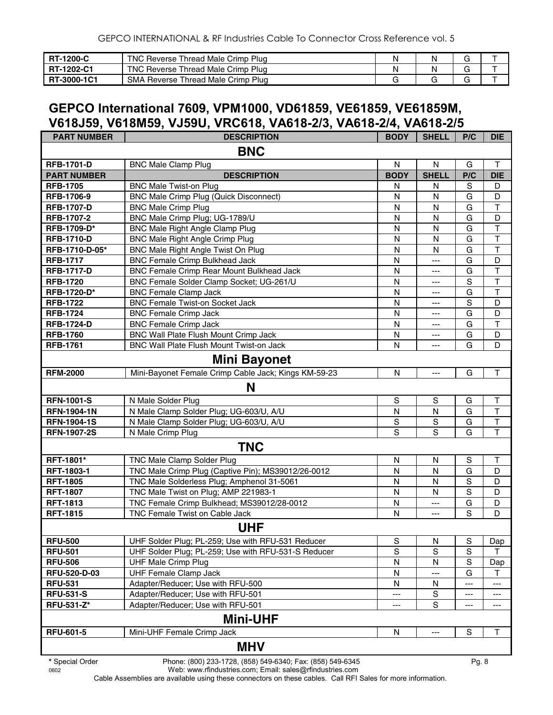| <b>IRT-1200-C</b> | TNC Reverse Thread Male Crimp Plug |  |  |
|-------------------|------------------------------------|--|--|
| <b>RT-1202-C1</b> | TNC Reverse Thread Male Crimp Plug |  |  |
| RT-3000-1C1       | SMA Reverse Thread Male Crimp Plug |  |  |

### **GEPCO International 7609, VPM1000, VD61859, VE61859, VE61859M, V618J59, V618M59, VJ59U, VRC618, VA618-2/3, VA618-2/4, VA618-2/5**

| <b>PART NUMBER</b> | <b>DESCRIPTION</b>                                   | <b>BODY</b>    | <b>SHELL</b> | P/C            | <b>DIE</b>              |
|--------------------|------------------------------------------------------|----------------|--------------|----------------|-------------------------|
|                    | <b>BNC</b>                                           |                |              |                |                         |
| <b>RFB-1701-D</b>  | <b>BNC Male Clamp Plug</b>                           | N              | N            | G              | T                       |
| <b>PART NUMBER</b> | <b>DESCRIPTION</b>                                   | <b>BODY</b>    | <b>SHELL</b> | P/C            | <b>DIE</b>              |
| <b>RFB-1705</b>    | <b>BNC Male Twist-on Plug</b>                        | N              | N            | S              | D                       |
| <b>RFB-1706-9</b>  | <b>BNC Male Crimp Plug (Quick Disconnect)</b>        | N              | N            | G              | D                       |
| <b>RFB-1707-D</b>  | <b>BNC Male Crimp Plug</b>                           | N              | N            | G              | T                       |
| <b>RFB-1707-2</b>  | BNC Male Crimp Plug; UG-1789/U                       | N              | N            | G              | D                       |
| RFB-1709-D*        | <b>BNC Male Right Angle Clamp Plug</b>               | N              | N            | G              | $\overline{\mathsf{T}}$ |
| <b>RFB-1710-D</b>  | <b>BNC Male Right Angle Crimp Plug</b>               | $\mathsf{N}$   | N            | G              | $\top$                  |
| RFB-1710-D-05*     | BNC Male Right Angle Twist On Plug                   | N              | N            | G              | $\top$                  |
| <b>RFB-1717</b>    | <b>BNC Female Crimp Bulkhead Jack</b>                | N              | ---          | G              | D                       |
| <b>RFB-1717-D</b>  | BNC Female Crimp Rear Mount Bulkhead Jack            | $\mathsf{N}$   | ---          | G              | $\overline{\mathsf{T}}$ |
| <b>RFB-1720</b>    | BNC Female Solder Clamp Socket; UG-261/U             | ${\sf N}$      | ---          | $\mathbf S$    | T                       |
| RFB-1720-D*        | <b>BNC Female Clamp Jack</b>                         | N              | ---          | G              | $\top$                  |
| <b>RFB-1722</b>    | <b>BNC Female Twist-on Socket Jack</b>               | N              | ---          | S              | D                       |
| <b>RFB-1724</b>    | <b>BNC Female Crimp Jack</b>                         | N              | ---          | G              | D                       |
| <b>RFB-1724-D</b>  | <b>BNC Female Crimp Jack</b>                         | N              | ---          | G              | T                       |
| <b>RFB-1760</b>    | BNC Wall Plate Flush Mount Crimp Jack                | $\mathsf{N}$   | ---          | G              | D                       |
| <b>RFB-1761</b>    | BNC Wall Plate Flush Mount Twist-on Jack             | N              |              | G              | D                       |
|                    | <b>Mini Bayonet</b>                                  |                |              |                |                         |
| <b>RFM-2000</b>    | Mini-Bayonet Female Crimp Cable Jack; Kings KM-59-23 | N              | ---          | G              | $\mathsf T$             |
|                    | N                                                    |                |              |                |                         |
| <b>RFN-1001-S</b>  | N Male Solder Plug                                   | S              | S            | G              | Τ                       |
| <b>RFN-1904-1N</b> | N Male Clamp Solder Plug; UG-603/U, A/U              | N              | N            | G              | $\overline{\mathsf{T}}$ |
| <b>RFN-1904-1S</b> | N Male Clamp Solder Plug; UG-603/U, A/U              | S              | S            | G              | $\overline{\mathsf{T}}$ |
| <b>RFN-1907-2S</b> | N Male Crimp Plug                                    | $\overline{s}$ | S            | G              | T                       |
|                    | <b>TNC</b>                                           |                |              |                |                         |
| RFT-1801*          | <b>TNC Male Clamp Solder Plug</b>                    | $\mathsf{N}$   | N            | S              | Τ                       |
| RFT-1803-1         | TNC Male Crimp Plug (Captive Pin); MS39012/26-0012   | N              | N            | G              | D                       |
| <b>RFT-1805</b>    | TNC Male Solderless Plug; Amphenol 31-5061           | N              | $\mathsf{N}$ | $\overline{s}$ | D                       |
| <b>RFT-1807</b>    | TNC Male Twist on Plug; AMP 221983-1                 | N              | $\mathsf{N}$ | $\overline{s}$ | D                       |
| <b>RFT-1813</b>    | TNC Female Crimp Bulkhead; MS39012/28-0012           | $\mathsf{N}$   | $---$        | G              | D                       |
| <b>RFT-1815</b>    | TNC Female Twist on Cable Jack                       | N              |              | S              | D                       |
|                    | <b>UHF</b>                                           |                |              |                |                         |
| <b>RFU-500</b>     | UHF Solder Plug; PL-259; Use with RFU-531 Reducer    | S              | ${\sf N}$    | $\mathbf S$    | Dap                     |
| <b>RFU-501</b>     | UHF Solder Plug; PL-259; Use with RFU-531-S Reducer  | S              | $\mathsf{s}$ | S              | т                       |
| <b>RFU-506</b>     | <b>UHF Male Crimp Plug</b>                           | N              | N            | S              | Dap                     |
| RFU-520-D-03       | <b>UHF Female Clamp Jack</b>                         | N              |              | G              | T                       |
| <b>RFU-531</b>     | Adapter/Reducer; Use with RFU-500                    | N              | N            | ---            | ---                     |
| <b>RFU-531-S</b>   | Adapter/Reducer; Use with RFU-501                    | ---            | S            | ---            | ---                     |
| RFU-531-Z*         | Adapter/Reducer; Use with RFU-501                    | ---            | $\mathbf S$  | ---            | ---                     |
|                    | <b>Mini-UHF</b>                                      |                |              |                |                         |
| <b>RFU-601-5</b>   | Mini-UHF Female Crimp Jack                           | N              | ---          | S              | $\top$                  |
|                    | <b>MHV</b>                                           |                |              |                |                         |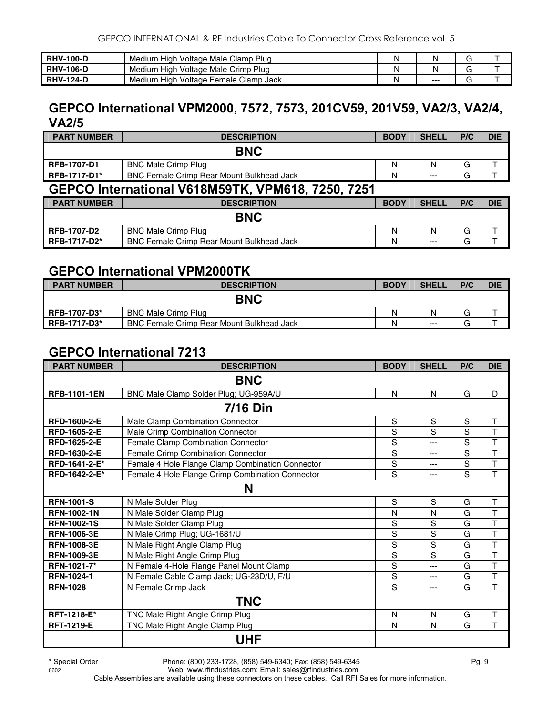| <b>RHV-100-D</b> | ı High Voltage Male Clamp Plug-<br>Medium | N    |   |  |
|------------------|-------------------------------------------|------|---|--|
| <b>RHV-106-D</b> | Plua<br>Medium High Voltage Male Crimp    |      | ╭ |  |
| <b>RHV-124-D</b> | Medium High Voltage Female Clamp Jack     | $--$ |   |  |

#### **GEPCO International VPM2000, 7572, 7573, 201CV59, 201V59, VA2/3, VA2/4, VA2/5**

| <b>PART NUMBER</b>  | <b>DESCRIPTION</b>                                       | <b>BODY</b> | <b>SHELL</b> | P/C | <b>DIE</b> |
|---------------------|----------------------------------------------------------|-------------|--------------|-----|------------|
|                     | <b>BNC</b>                                               |             |              |     |            |
| <b>RFB-1707-D1</b>  | <b>BNC Male Crimp Plug</b>                               | N           |              | G   |            |
| <b>RFB-1717-D1*</b> | <b>BNC Female Crimp Rear Mount Bulkhead Jack</b>         | N           | $---$        | G   |            |
|                     | <b>GEPCO International V618M59TK, VPM618, 7250, 7251</b> |             |              |     |            |

| <b>PART NUMBER</b> | <b>DESCRIPTION</b>                               | <b>BODY</b> | <b>SHELL</b> | P/C | <b>DIE</b> |
|--------------------|--------------------------------------------------|-------------|--------------|-----|------------|
|                    | <b>BNC</b>                                       |             |              |     |            |
| <b>RFB-1707-D2</b> | <b>BNC Male Crimp Plug</b>                       | N           |              | G   |            |
| RFB-1717-D2*       | <b>BNC Female Crimp Rear Mount Bulkhead Jack</b> | N           | $---$        | G   |            |

#### **GEPCO International VPM2000TK**

| <b>PART NUMBER</b>  | <b>DESCRIPTION</b>                               | <b>BODY</b> | <b>SHELL</b> | P/C | <b>DIE</b> |
|---------------------|--------------------------------------------------|-------------|--------------|-----|------------|
|                     | <b>BNC</b>                                       |             |              |     |            |
| <b>RFB-1707-D3*</b> | <b>BNC Male Crimp Plug</b>                       | N           |              | G   |            |
| <b>RFB-1717-D3*</b> | <b>BNC Female Crimp Rear Mount Bulkhead Jack</b> | N           | $---$        | G   |            |

#### **GEPCO International 7213**

| <b>PART NUMBER</b>  | <b>DESCRIPTION</b>                               | <b>BODY</b> | <b>SHELL</b> | P/C            | <b>DIE</b>              |
|---------------------|--------------------------------------------------|-------------|--------------|----------------|-------------------------|
|                     | <b>BNC</b>                                       |             |              |                |                         |
| <b>RFB-1101-1EN</b> | BNC Male Clamp Solder Plug; UG-959A/U            | N           | N            | G              | D                       |
|                     | <b>7/16 Din</b>                                  |             |              |                |                         |
| <b>RFD-1600-2-E</b> | Male Clamp Combination Connector                 | S           | S            | S              | Τ                       |
| <b>RFD-1605-2-E</b> | Male Crimp Combination Connector                 | S           | S            | S              | T                       |
| RFD-1625-2-E        | Female Clamp Combination Connector               | S           | ---          | $\overline{s}$ | $\overline{\mathsf{T}}$ |
| RFD-1630-2-E        | Female Crimp Combination Connector               | S           | ---          | S              | T                       |
| RFD-1641-2-E*       | Female 4 Hole Flange Clamp Combination Connector | S           | ---          | S              | T                       |
| RFD-1642-2-E*       | Female 4 Hole Flange Crimp Combination Connector | S           | $---$        | S              | T                       |
|                     | N                                                |             |              |                |                         |
| <b>RFN-1001-S</b>   | N Male Solder Plug                               | S           | S            | G              | T                       |
| <b>RFN-1002-1N</b>  | N Male Solder Clamp Plug                         | N           | N            | G              | $\overline{T}$          |
| <b>RFN-1002-1S</b>  | N Male Solder Clamp Plug                         | S           | S            | G              | T                       |
| <b>RFN-1006-3E</b>  | N Male Crimp Plug; UG-1681/U                     | $\mathbf S$ | S            | G              | T                       |
| <b>RFN-1008-3E</b>  | N Male Right Angle Clamp Plug                    | S           | S            | G              | $\overline{\mathsf{T}}$ |
| <b>RFN-1009-3E</b>  | N Male Right Angle Crimp Plug                    | S           | S            | G              | T                       |
| RFN-1021-7*         | N Female 4-Hole Flange Panel Mount Clamp         | S           | ---          | G              | T                       |
| <b>RFN-1024-1</b>   | N Female Cable Clamp Jack; UG-23D/U, F/U         | S           | ---          | G              | T                       |
| <b>RFN-1028</b>     | N Female Crimp Jack                              | S           | $---$        | G              | T                       |
|                     | <b>TNC</b>                                       |             |              |                |                         |
| RFT-1218-E*         | TNC Male Right Angle Crimp Plug                  | N           | N            | G              | T                       |
| <b>RFT-1219-E</b>   | TNC Male Right Angle Clamp Plug                  | N           | N            | G              | T                       |
|                     | <b>UHF</b>                                       |             |              |                |                         |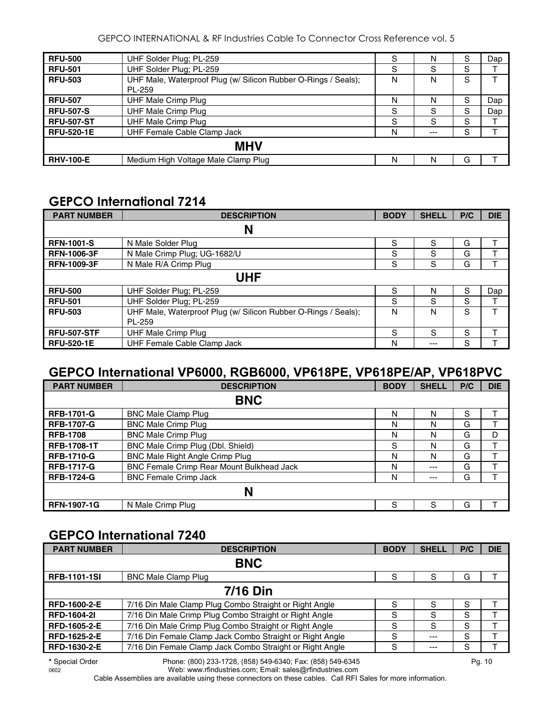GEPCO INTERNATIONAL & RF Industries Cable To Connector Cross Reference vol. 5

| <b>RFU-500</b>    | UHF Solder Plug; PL-259                                        | S | N   | S | Dap |
|-------------------|----------------------------------------------------------------|---|-----|---|-----|
| <b>RFU-501</b>    | UHF Solder Plug; PL-259                                        | S | S   | S |     |
| <b>RFU-503</b>    | UHF Male, Waterproof Plug (w/ Silicon Rubber O-Rings / Seals); | N | N   | S |     |
|                   | PL-259                                                         |   |     |   |     |
| <b>RFU-507</b>    | UHF Male Crimp Plug                                            | N | N   | S | Dap |
| <b>RFU-507-S</b>  | <b>UHF Male Crimp Plug</b>                                     | S | S   | S | Dap |
| <b>RFU-507-ST</b> | <b>UHF Male Crimp Plug</b>                                     | S | S   | S |     |
| <b>RFU-520-1E</b> | UHF Female Cable Clamp Jack                                    | N | --- | S |     |
|                   | <b>MHV</b>                                                     |   |     |   |     |
| <b>RHV-100-E</b>  | Medium High Voltage Male Clamp Plug                            | N | N   | G |     |

## **GEPCO International 7214**

| <b>PART NUMBER</b> | <b>DESCRIPTION</b>                                             | <b>BODY</b> | <b>SHELL</b> | P/C | <b>DIE</b> |
|--------------------|----------------------------------------------------------------|-------------|--------------|-----|------------|
|                    | N                                                              |             |              |     |            |
| <b>RFN-1001-S</b>  | N Male Solder Plug                                             | S           | S            | G   |            |
| <b>RFN-1006-3F</b> | N Male Crimp Plug; UG-1682/U                                   | S           | S            | G   |            |
| <b>RFN-1009-3F</b> | N Male R/A Crimp Plug                                          | S           | S            | G   |            |
|                    | <b>UHF</b>                                                     |             |              |     |            |
| <b>RFU-500</b>     | UHF Solder Plug; PL-259                                        | S           | N            | S   | Dap        |
| <b>RFU-501</b>     | UHF Solder Plug; PL-259                                        | S           | S            | S   |            |
| <b>RFU-503</b>     | UHF Male, Waterproof Plug (w/ Silicon Rubber O-Rings / Seals); | N           | N            | S   |            |
|                    | PL-259                                                         |             |              |     |            |
| <b>RFU-507-STF</b> | <b>UHF Male Crimp Plug</b>                                     | S           | S            | S   |            |
| <b>RFU-520-1E</b>  | UHF Female Cable Clamp Jack                                    | N           | ---          | S   |            |

#### **GEPCO International VP6000, RGB6000, VP618PE, VP618PE/AP, VP618PVC**

| <b>PART NUMBER</b> | <b>DESCRIPTION</b>                               | <b>BODY</b> | <b>SHELL</b> | P/C | <b>DIE</b> |
|--------------------|--------------------------------------------------|-------------|--------------|-----|------------|
|                    | <b>BNC</b>                                       |             |              |     |            |
| <b>RFB-1701-G</b>  | <b>BNC Male Clamp Plug</b>                       | N           | N            | S   |            |
| <b>RFB-1707-G</b>  | <b>BNC Male Crimp Plug</b>                       | N           | N            | G   |            |
| <b>RFB-1708</b>    | <b>BNC Male Crimp Plug</b>                       | N           | N            | G   | D          |
| <b>RFB-1708-1T</b> | BNC Male Crimp Plug (Dbl. Shield)                | S           | N            | G   |            |
| <b>RFB-1710-G</b>  | BNC Male Right Angle Crimp Plug                  | N           | N            | G   |            |
| <b>RFB-1717-G</b>  | <b>BNC Female Crimp Rear Mount Bulkhead Jack</b> | N           | ---          | G   |            |
| <b>RFB-1724-G</b>  | <b>BNC Female Crimp Jack</b>                     | N           | ---          | G   |            |
|                    | N                                                |             |              |     |            |
| <b>RFN-1907-1G</b> | N Male Crimp Plug                                | S           | S            | G   |            |

## **GEPCO International 7240**

| <b>PART NUMBER</b>  | <b>DESCRIPTION</b>                                       | <b>BODY</b> | <b>SHELL</b> | P/C | <b>DIE</b> |
|---------------------|----------------------------------------------------------|-------------|--------------|-----|------------|
|                     | <b>BNC</b>                                               |             |              |     |            |
| <b>RFB-1101-1SI</b> | <b>BNC Male Clamp Plug</b>                               | S           | S            | G   |            |
|                     | <b>7/16 Din</b>                                          |             |              |     |            |
| <b>RFD-1600-2-E</b> | 7/16 Din Male Clamp Plug Combo Straight or Right Angle   | S           | S            | S   |            |
| <b>RFD-1604-21</b>  | 7/16 Din Male Crimp Plug Combo Straight or Right Angle   | S           | S            | S   |            |
| RFD-1605-2-E        | 7/16 Din Male Crimp Plug Combo Straight or Right Angle   | S           | S            | S   |            |
| RFD-1625-2-E        | 7/16 Din Female Clamp Jack Combo Straight or Right Angle | S           | $- - -$      | S   |            |
| RFD-1630-2-E        | 7/16 Din Female Clamp Jack Combo Straight or Right Angle | S           | $--$         | S   |            |

**\*** Special Order Phone: (800) 233-1728, (858) 549-6340; Fax: (858) 549-6345 Pg. 10 Web: www.rfindustries.com; Email: sales@rfindustries.com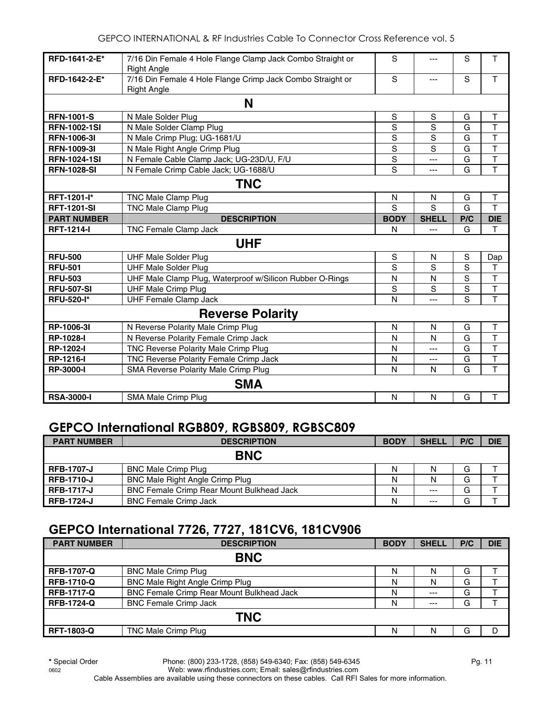| RFD-1641-2-E*                                                           | 7/16 Din Female 4 Hole Flange Clamp Jack Combo Straight or<br><b>Right Angle</b> | S              | ---          | S   | T                       |  |  |
|-------------------------------------------------------------------------|----------------------------------------------------------------------------------|----------------|--------------|-----|-------------------------|--|--|
| RFD-1642-2-E*                                                           | 7/16 Din Female 4 Hole Flange Crimp Jack Combo Straight or<br><b>Right Angle</b> | S              | ---          | S   | T                       |  |  |
|                                                                         | N                                                                                |                |              |     |                         |  |  |
| <b>RFN-1001-S</b>                                                       | N Male Solder Plug                                                               | S              | S            | G   | Τ                       |  |  |
| <b>RFN-1002-1SI</b>                                                     | N Male Solder Clamp Plug                                                         | S              | S            | G   | T                       |  |  |
| <b>RFN-1006-3I</b>                                                      | N Male Crimp Plug; UG-1681/U                                                     | S              | S            | G   | T                       |  |  |
| <b>RFN-1009-31</b>                                                      | N Male Right Angle Crimp Plug                                                    | $\overline{S}$ | S            | G   | $\overline{\mathsf{T}}$ |  |  |
| <b>RFN-1024-1SI</b>                                                     | N Female Cable Clamp Jack; UG-23D/U, F/U                                         | $\overline{s}$ | ---          | G   | T                       |  |  |
| <b>RFN-1028-SI</b>                                                      | N Female Crimp Cable Jack; UG-1688/U                                             | S              | ---          | G   | $\overline{\mathsf{T}}$ |  |  |
|                                                                         | <b>TNC</b>                                                                       |                |              |     |                         |  |  |
| RFT-1201-l*                                                             | <b>TNC Male Clamp Plug</b>                                                       | N              | N            | G   | T                       |  |  |
| <b>RFT-1201-SI</b>                                                      | <b>TNC Male Clamp Plug</b>                                                       | S              | S            | G   | T                       |  |  |
| <b>PART NUMBER</b>                                                      | <b>DESCRIPTION</b>                                                               | <b>BODY</b>    | <b>SHELL</b> | P/C | <b>DIE</b>              |  |  |
|                                                                         |                                                                                  |                |              |     |                         |  |  |
| <b>RFT-1214-I</b><br><b>TNC Female Clamp Jack</b><br>G<br>т<br>N<br>--- |                                                                                  |                |              |     |                         |  |  |
|                                                                         | <b>UHF</b>                                                                       |                |              |     |                         |  |  |
| <b>RFU-500</b>                                                          | <b>UHF Male Solder Plug</b>                                                      | ${\mathsf S}$  | N            | S   | Dap                     |  |  |
| <b>RFU-501</b>                                                          | <b>UHF Male Solder Plug</b>                                                      | S              | S            | S   | т                       |  |  |
| <b>RFU-503</b>                                                          | UHF Male Clamp Plug, Waterproof w/Silicon Rubber O-Rings                         | N              | N            | S   | $\mathsf{T}$            |  |  |
| <b>RFU-507-SI</b>                                                       | <b>UHF Male Crimp Plug</b>                                                       | S              | S            | S   | $\top$                  |  |  |
| <b>RFU-520-I*</b>                                                       | <b>UHF Female Clamp Jack</b>                                                     | N              |              | S   | T                       |  |  |
|                                                                         | <b>Reverse Polarity</b>                                                          |                |              |     |                         |  |  |
| RP-1006-3I                                                              | N Reverse Polarity Male Crimp Plug                                               | N              | N            | G   | T                       |  |  |
| <b>RP-1028-I</b>                                                        | N Reverse Polarity Female Crimp Jack                                             | N              | N            | G   | $\overline{\mathsf{T}}$ |  |  |
| <b>RP-1202-I</b>                                                        | TNC Reverse Polarity Male Crimp Plug                                             | N              | ---          | G   | $\overline{1}$          |  |  |
| <b>RP-1216-I</b>                                                        | TNC Reverse Polarity Female Crimp Jack                                           | N              | ---          | G   | $\overline{\mathsf{T}}$ |  |  |
| <b>RP-3000-I</b>                                                        | SMA Reverse Polarity Male Crimp Plug                                             | N              | N            | G   | T                       |  |  |
|                                                                         | <b>SMA</b>                                                                       |                |              |     |                         |  |  |

## **GEPCO International RGB809, RGBS809, RGBSC809**

| <b>PART NUMBER</b> | <b>DESCRIPTION</b>                               | <b>BODY</b> | <b>SHELL</b> | P/C | <b>DIE</b> |  |
|--------------------|--------------------------------------------------|-------------|--------------|-----|------------|--|
| <b>BNC</b>         |                                                  |             |              |     |            |  |
| <b>RFB-1707-J</b>  | <b>BNC Male Crimp Plug</b>                       | N           | Ν            | G   |            |  |
| <b>RFB-1710-J</b>  | <b>BNC Male Right Angle Crimp Plug</b>           | N           |              | G   |            |  |
| <b>RFB-1717-J</b>  | <b>BNC Female Crimp Rear Mount Bulkhead Jack</b> | N           | $---$        | G   |            |  |
| <b>RFB-1724-J</b>  | <b>BNC Female Crimp Jack</b>                     | Ν           | $---$        | G   |            |  |

## **GEPCO International 7726, 7727, 181CV6, 181CV906**

| <b>PART NUMBER</b> | <b>DESCRIPTION</b>                        | <b>BODY</b> | <b>SHELL</b> | P/C | <b>DIE</b> |  |
|--------------------|-------------------------------------------|-------------|--------------|-----|------------|--|
| <b>BNC</b>         |                                           |             |              |     |            |  |
| <b>RFB-1707-Q</b>  | <b>BNC Male Crimp Plug</b>                | N           | N            | G   |            |  |
| <b>RFB-1710-Q</b>  | BNC Male Right Angle Crimp Plug           | N           | N            | G   |            |  |
| <b>RFB-1717-Q</b>  | BNC Female Crimp Rear Mount Bulkhead Jack | N           | $---$        | G   |            |  |
| <b>RFB-1724-Q</b>  | <b>BNC Female Crimp Jack</b>              | N           | $---$        | G   |            |  |
| <b>TNC</b>         |                                           |             |              |     |            |  |
| <b>RFT-1803-Q</b>  | TNC Male Crimp Plug                       | N           | N            | G   | D          |  |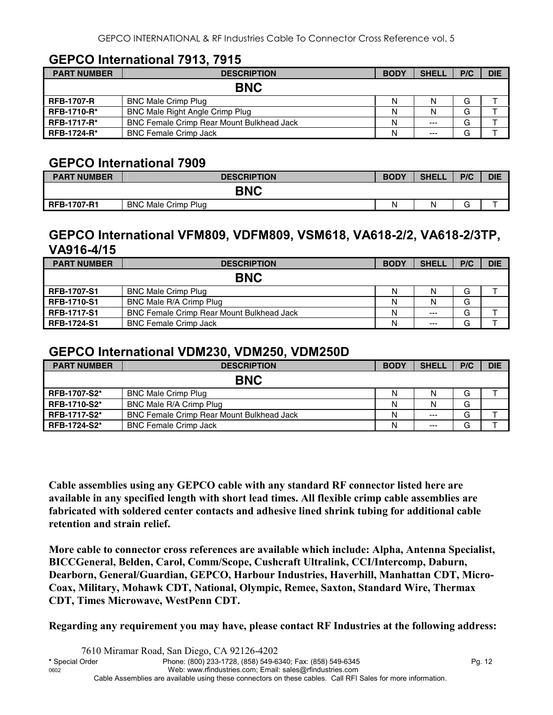#### **GEPCO International 7913, 7915**

| <b>PART NUMBER</b> | <b>DESCRIPTION</b>                               | <b>BODY</b> | <b>SHELL</b> | P/C | <b>DIE</b> |  |
|--------------------|--------------------------------------------------|-------------|--------------|-----|------------|--|
| <b>BNC</b>         |                                                  |             |              |     |            |  |
| <b>RFB-1707-R</b>  | <b>BNC Male Crimp Plug</b>                       | N           | N            | G   |            |  |
| <b>RFB-1710-R*</b> | BNC Male Right Angle Crimp Plug                  | Ν           | N            | G   |            |  |
| <b>RFB-1717-R*</b> | <b>BNC Female Crimp Rear Mount Bulkhead Jack</b> | Ν           | $---$        | G   |            |  |
| <b>RFB-1724-R*</b> | <b>BNC Female Crimp Jack</b>                     | Ν           | $---$        | G   |            |  |

#### **GEPCO International 7909**

| <b>PART NUMBER</b> | <b>DESCRIPTION</b>         | <b>BODY</b> | <b>SHELL</b> | P/C | <b>DIE</b> |  |
|--------------------|----------------------------|-------------|--------------|-----|------------|--|
| <b>BNC</b>         |                            |             |              |     |            |  |
| <b>RFB-1707-R1</b> | <b>BNC Male Crimp Plug</b> | Ν           | N            |     |            |  |

#### **GEPCO International VFM809, VDFM809, VSM618, VA618-2/2, VA618-2/3TP, VA916-4/15**

| <b>PART NUMBER</b> | <b>DESCRIPTION</b>                               | <b>BODY</b> | <b>SHELL</b> | P/C | <b>DIE</b> |  |
|--------------------|--------------------------------------------------|-------------|--------------|-----|------------|--|
| <b>BNC</b>         |                                                  |             |              |     |            |  |
| <b>RFB-1707-S1</b> | <b>BNC Male Crimp Plug</b>                       | N           |              | G   |            |  |
| <b>RFB-1710-S1</b> | BNC Male R/A Crimp Plug                          | N           | N            | G   |            |  |
| <b>RFB-1717-S1</b> | <b>BNC Female Crimp Rear Mount Bulkhead Jack</b> | N           | $---$        | G   |            |  |
| <b>RFB-1724-S1</b> | <b>BNC Female Crimp Jack</b>                     | N           | $---$        | G   |            |  |

#### **GEPCO International VDM230, VDM250, VDM250D**

| <b>PART NUMBER</b>  | <b>DESCRIPTION</b>                               | <b>BODY</b> | <b>SHELL</b> | P/C | <b>DIE</b> |
|---------------------|--------------------------------------------------|-------------|--------------|-----|------------|
|                     | <b>BNC</b>                                       |             |              |     |            |
| <b>RFB-1707-S2*</b> | <b>BNC Male Crimp Plug</b>                       | Ν           | N            | G   |            |
| RFB-1710-S2*        | BNC Male R/A Crimp Plug                          | Ν           | N            | G   |            |
| <b>RFB-1717-S2*</b> | <b>BNC Female Crimp Rear Mount Bulkhead Jack</b> | Ν           | $---$        | G   |            |
| <b>RFB-1724-S2*</b> | <b>BNC Female Crimp Jack</b>                     | Ν           | $---$        | G   |            |

**Cable assemblies using any GEPCO cable with any standard RF connector listed here are available in any specified length with short lead times. All flexible crimp cable assemblies are fabricated with soldered center contacts and adhesive lined shrink tubing for additional cable retention and strain relief.** 

**More cable to connector cross references are available which include: Alpha, Antenna Specialist, BICCGeneral, Belden, Carol, Comm/Scope, Cushcraft Ultralink, CCI/Intercomp, Daburn, Dearborn, General/Guardian, GEPCO, Harbour Industries, Haverhill, Manhattan CDT, Micro-Coax, Military, Mohawk CDT, National, Olympic, Remee, Saxton, Standard Wire, Thermax CDT, Times Microwave, WestPenn CDT.** 

**Regarding any requirement you may have, please contact RF Industries at the following address:**